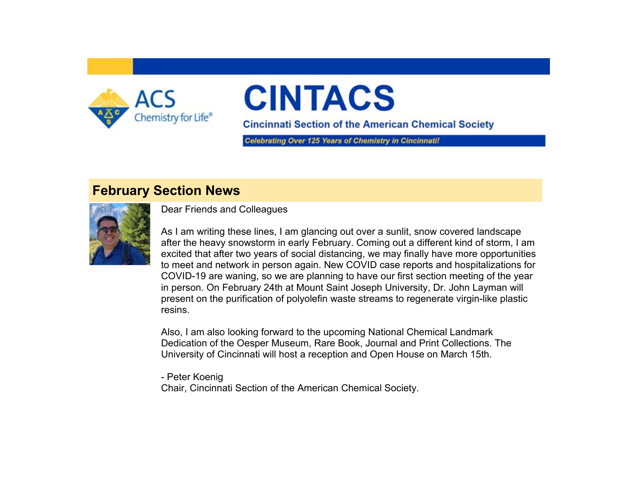

# **CINTACS**

**Cincinnati Section of the American Chemical Society** 

Celebrating Over 125 Years of Chemistry in Cincinnatil

#### **February Section News**



Dear Friends and Colleagues

As I am writing these lines, I am glancing out over a sunlit, snow covered landscape after the heavy snowstorm in early February. Coming out a different kind of storm, I am excited that after two years of social distancing, we may finally have more opportunities to meet and network in person again. New COVID case reports and hospitalizations for COVID-19 are waning, so we are planning to have our first section meeting of the year in person. On February 24th at Mount Saint Joseph University, Dr. John Layman will present on the purification of polyolefin waste streams to regenerate virgin-like plastic resins.

Also, I am also looking forward to the upcoming National Chemical Landmark Dedication of the Oesper Museum, Rare Book, Journal and Print Collections. The University of Cincinnati will host a reception and Open House on March 15th.

- Peter Koenig Chair, Cincinnati Section of the American Chemical Society.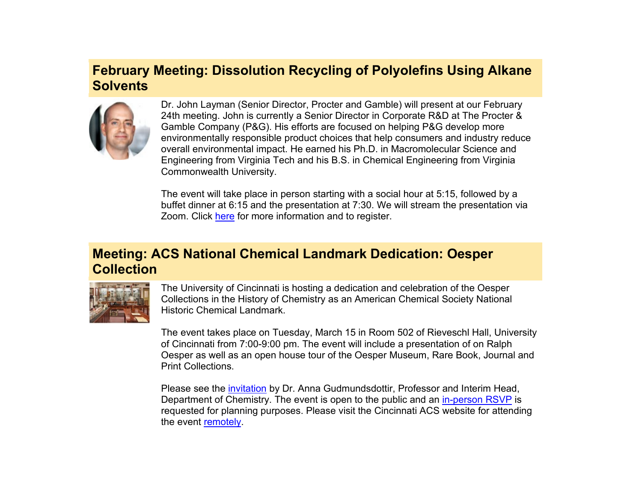### **February Meeting: Dissolution Recycling of Polyolefins Using Alkane Solvents**



Dr. John Layman (Senior Director, Procter and Gamble) will present at our February 24th meeting. John is currently a Senior Director in Corporate R&D at The Procter & Gamble Company (P&G). His efforts are focused on helping P&G develop more environmentally responsible product choices that help consumers and industry reduce overall environmental impact. He earned his Ph.D. in Macromolecular Science and Engineering from Virginia Tech and his B.S. in Chemical Engineering from Virginia Commonwealth University.

The event will take place in person starting with a social hour at 5:15, followed by a buffet dinner at 6:15 and the presentation at 7:30. We will stream the presentation via Zoom. Click [here](https://www.acscincinnati.org/meetings/meetings.php?meeting=meeting20220224) for more information and to register.

#### **Meeting: ACS National Chemical Landmark Dedication: Oesper Collection**



The University of Cincinnati is hosting a dedication and celebration of the Oesper Collections in the History of Chemistry as an American Chemical Society National Historic Chemical Landmark.

The event takes place on Tuesday, March 15 in Room 502 of Rieveschl Hall, University of Cincinnati from 7:00-9:00 pm. The event will include a presentation of on Ralph Oesper as well as an open house tour of the Oesper Museum, Rare Book, Journal and Print Collections.

Please see the [invitation](https://www.acscincinnati.org/main/images/Oesper%20Celebration%20Invitation%20Letter.pdf) by Dr. Anna Gudmundsdottir, Professor and Interim Head, Department of Chemistry. The event is open to the public and an [in-person RSVP](https://www.surveymonkey.com/r/63BJC22) is requested for planning purposes. Please visit the Cincinnati ACS website for attending the event [remotely.](https://www.acscincinnati.org/meetings/meetings.php?meeting=meeting20220315)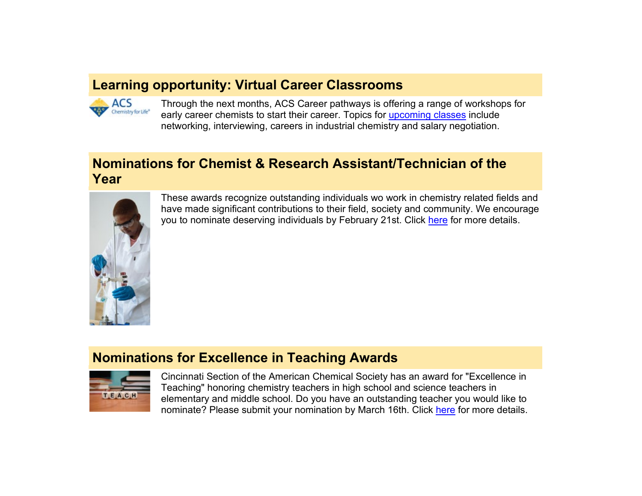#### **Learning opportunity: Virtual Career Classrooms**



Through the next months, ACS Career pathways is offering a range of workshops for early career chemists to start their career. Topics for [upcoming classes](https://www.acs.org/content/acs/en/careers/virtual-classrooms.html) include networking, interviewing, careers in industrial chemistry and salary negotiation.

#### **Nominations for Chemist & Research Assistant/Technician of the Year**



These awards recognize outstanding individuals wo work in chemistry related fields and have made significant contributions to their field, society and community. We encourage you to nominate deserving individuals by February 21st. Click [here](https://www.acscincinnati.org/main/main.php#chem_award) for more details.

#### **Nominations for Excellence in Teaching Awards**



Cincinnati Section of the American Chemical Society has an award for "Excellence in Teaching" honoring chemistry teachers in high school and science teachers in elementary and middle school. Do you have an outstanding teacher you would like to nominate? Please submit your nomination by March 16th. Click [here](https://www.acscincinnati.org/main/main.php#teach_award) for more details.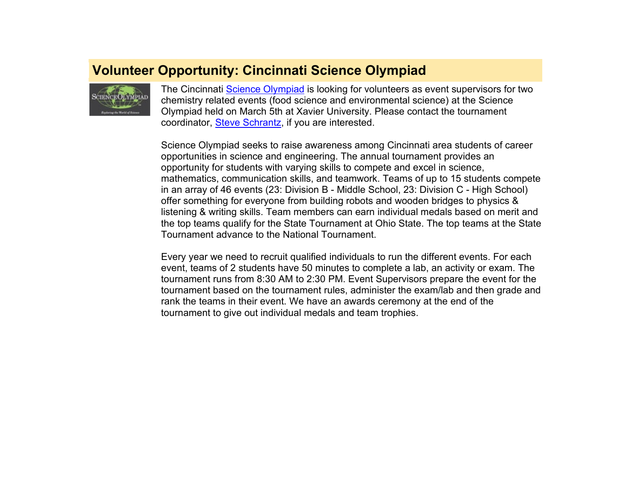#### **Volunteer Opportunity: Cincinnati Science Olympiad**



The Cincinnati [Science Olympiad](https://www.soinc.org/) is looking for volunteers as event supervisors for two chemistry related events (food science and environmental science) at the Science Olympiad held on March 5th at Xavier University. Please contact the tournament coordinator, [Steve Schrantz,](mailto:sschrantz_2056@fuse.net) if you are interested.

Science Olympiad seeks to raise awareness among Cincinnati area students of career opportunities in science and engineering. The annual tournament provides an opportunity for students with varying skills to compete and excel in science, mathematics, communication skills, and teamwork. Teams of up to 15 students compete in an array of 46 events (23: Division B - Middle School, 23: Division C - High School) offer something for everyone from building robots and wooden bridges to physics & listening & writing skills. Team members can earn individual medals based on merit and the top teams qualify for the State Tournament at Ohio State. The top teams at the State Tournament advance to the National Tournament.

Every year we need to recruit qualified individuals to run the different events. For each event, teams of 2 students have 50 minutes to complete a lab, an activity or exam. The tournament runs from 8:30 AM to 2:30 PM. Event Supervisors prepare the event for the tournament based on the tournament rules, administer the exam/lab and then grade and rank the teams in their event. We have an awards ceremony at the end of the tournament to give out individual medals and team trophies.